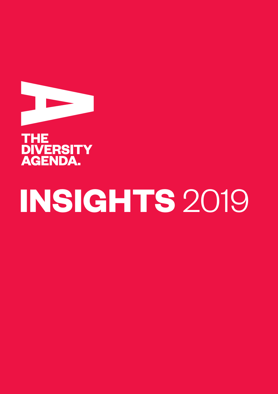



# **INSIGHTS** 2019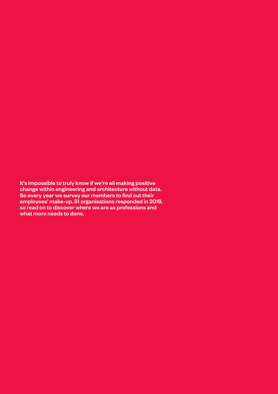It's impossible to truly know if we're all making positive change within engineering and architecture without data. So every year we survey our members to find out their employees' make-up. 51 organisations responded in 2019, so read on to discover where we are as professions and what more needs to done.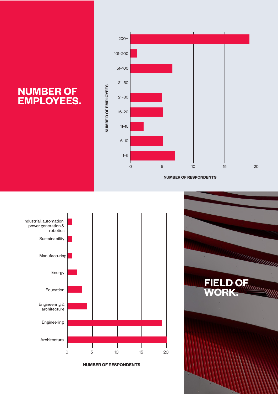## **NUMBER OF EMPLOYEES.**



**NUMBER OF RESPONDENTS**



**NUMBER OF RESPONDENTS**

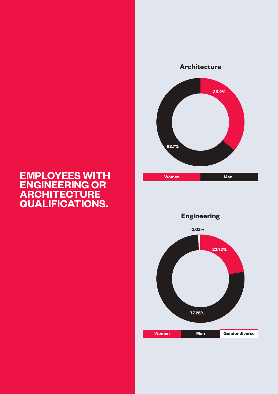### **EMPLOYEES WITH ENGINEERING OR ARCHITECTURE QUALIFICATIONS.**



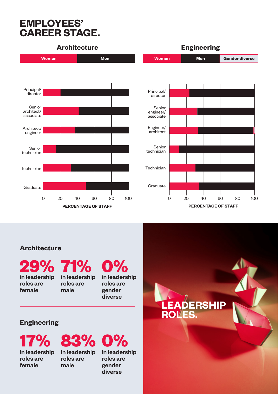## **EMPLOYEES' CAREER STAGE.**



**PERCENTAGE OF STAFF**

**PERCENTAGE OF STAFF**

**LEADERSHIP** 

**ROLES.**

#### **Architecture**

in leadership roles are female

**29% 71% 0%** in leadership roles are male

in leadership roles are gender diverse

#### **Engineering**

in leadership roles are female



in leadership roles are gender diverse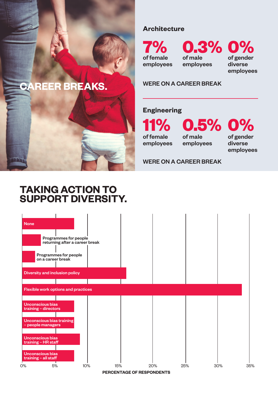## **CAREER BREAKS.**

#### **Architecture**

of female employees

**7% 0.3% 0%** of male employees

of gender diverse employees

#### WERE ON A CAREER BREAK

#### **Engineering**

**11% 0.5% 0%** of female employees

of male employees of gender diverse employees

#### WERE ON A CAREER BREAK

## **TAKING ACTION TO SUPPORT DIVERSITY.**

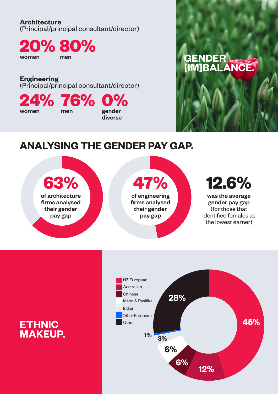#### **Architecture**

(Principal/principal consultant/director)

**20% 80%** women men

**Engineering** (Principal/principal consultant/director)

men gender

**24% 76% 0%**

women

## **GENDER [IM]BALANCE.**

## **ANALYSING THE GENDER PAY GAP.**

diverse